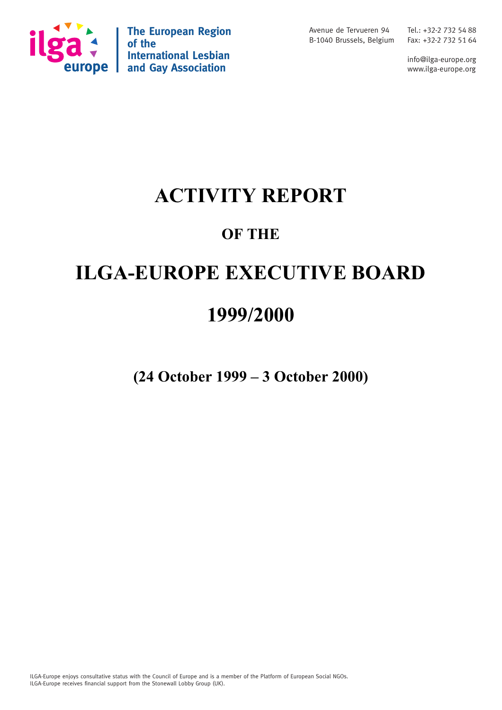

**The European Region of the International Lesbian and Gay Association**

Avenue de Tervueren 94 B-1040 Brussels, Belgium Fax: +32-2 732 51 64

Tel.: +32-2 732 54 88

info@ilga-europe.org www.ilga-europe.org

## **ACTIVITY REPORT**

## **OF THE**

# **ILGA-EUROPE EXECUTIVE BOARD**

## **1999/2000**

**(24 October 1999 – 3 October 2000)**

ILGA-Europe enjoys consultative status with the Council of Europe and is a member of the Platform of European Social NGOs. ILGA-Europe receives financial support from the Stonewall Lobby Group (UK).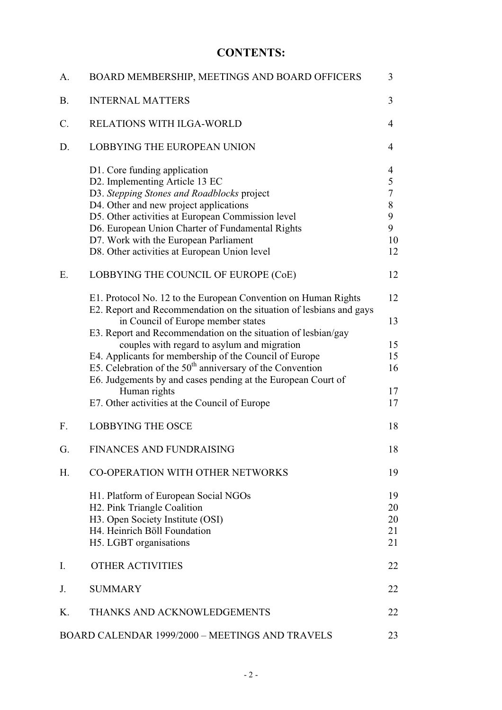## **CONTENTS:**

| A.              | BOARD MEMBERSHIP, MEETINGS AND BOARD OFFICERS                                                                                                                                                                                                                                                                                                                          | 3                                                                |
|-----------------|------------------------------------------------------------------------------------------------------------------------------------------------------------------------------------------------------------------------------------------------------------------------------------------------------------------------------------------------------------------------|------------------------------------------------------------------|
| <b>B.</b>       | <b>INTERNAL MATTERS</b>                                                                                                                                                                                                                                                                                                                                                | 3                                                                |
| $\mathcal{C}$ . | RELATIONS WITH ILGA-WORLD                                                                                                                                                                                                                                                                                                                                              | $\overline{4}$                                                   |
| D.              | <b>LOBBYING THE EUROPEAN UNION</b>                                                                                                                                                                                                                                                                                                                                     | 4                                                                |
|                 | D1. Core funding application<br>D2. Implementing Article 13 EC<br>D3. Stepping Stones and Roadblocks project<br>D4. Other and new project applications<br>D5. Other activities at European Commission level<br>D6. European Union Charter of Fundamental Rights<br>D7. Work with the European Parliament<br>D8. Other activities at European Union level               | $\overline{4}$<br>5<br>$\overline{7}$<br>8<br>9<br>9<br>10<br>12 |
| Ε.              | LOBBYING THE COUNCIL OF EUROPE (CoE)                                                                                                                                                                                                                                                                                                                                   | 12                                                               |
|                 | E1. Protocol No. 12 to the European Convention on Human Rights<br>E2. Report and Recommendation on the situation of lesbians and gays<br>in Council of Europe member states                                                                                                                                                                                            | 12<br>13                                                         |
|                 | E3. Report and Recommendation on the situation of lesbian/gay<br>couples with regard to asylum and migration<br>E4. Applicants for membership of the Council of Europe<br>E5. Celebration of the $50th$ anniversary of the Convention<br>E6. Judgements by and cases pending at the European Court of<br>Human rights<br>E7. Other activities at the Council of Europe | 15<br>15<br>16<br>17<br>17                                       |
| F.              | <b>LOBBYING THE OSCE</b>                                                                                                                                                                                                                                                                                                                                               | 18                                                               |
| G.              | FINANCES AND FUNDRAISING                                                                                                                                                                                                                                                                                                                                               | 18                                                               |
| Η.              | CO-OPERATION WITH OTHER NETWORKS                                                                                                                                                                                                                                                                                                                                       | 19                                                               |
|                 | H1. Platform of European Social NGOs<br>H2. Pink Triangle Coalition<br>H3. Open Society Institute (OSI)<br>H4. Heinrich Böll Foundation<br>H5. LGBT organisations                                                                                                                                                                                                      | 19<br>20<br>20<br>21<br>21                                       |
| Ι.              | <b>OTHER ACTIVITIES</b>                                                                                                                                                                                                                                                                                                                                                | 22                                                               |
| J.              | <b>SUMMARY</b>                                                                                                                                                                                                                                                                                                                                                         | 22                                                               |
| Κ.              | THANKS AND ACKNOWLEDGEMENTS                                                                                                                                                                                                                                                                                                                                            | 22                                                               |
|                 | BOARD CALENDAR 1999/2000 - MEETINGS AND TRAVELS                                                                                                                                                                                                                                                                                                                        | 23                                                               |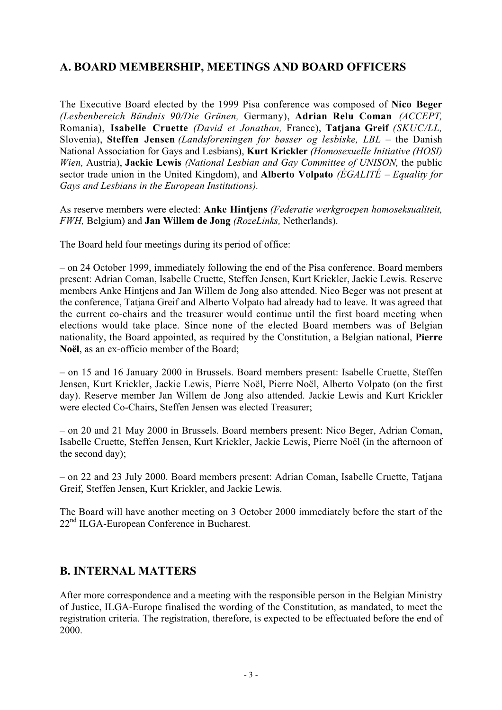## **A. BOARD MEMBERSHIP, MEETINGS AND BOARD OFFICERS**

The Executive Board elected by the 1999 Pisa conference was composed of **Nico Beger** *(Lesbenbereich Bündnis 90/Die Grünen,* Germany), **Adrian Relu Coman** *(ACCEPT,* Romania), **Isabelle Cruette** *(David et Jonathan,* France), **Tatjana Greif** *(SKUC/LL,* Slovenia), **Steffen Jensen** *(Landsforeningen for bøsser og lesbiske, LBL* – the Danish National Association for Gays and Lesbians), **Kurt Krickler** *(Homosexuelle Initiative (HOSI) Wien,* Austria), **Jackie Lewis** *(National Lesbian and Gay Committee of UNISON,* the public sector trade union in the United Kingdom), and **Alberto Volpato** *(ÉGALITÉ* – *Equality for Gays and Lesbians in the European Institutions).*

As reserve members were elected: **Anke Hintjens** *(Federatie werkgroepen homoseksualiteit, FWH,* Belgium) and **Jan Willem de Jong** *(RozeLinks,* Netherlands).

The Board held four meetings during its period of office:

– on 24 October 1999, immediately following the end of the Pisa conference. Board members present: Adrian Coman, Isabelle Cruette, Steffen Jensen, Kurt Krickler, Jackie Lewis. Reserve members Anke Hintjens and Jan Willem de Jong also attended. Nico Beger was not present at the conference, Tatjana Greif and Alberto Volpato had already had to leave. It was agreed that the current co-chairs and the treasurer would continue until the first board meeting when elections would take place. Since none of the elected Board members was of Belgian nationality, the Board appointed, as required by the Constitution, a Belgian national, **Pierre Noël**, as an ex-officio member of the Board;

– on 15 and 16 January 2000 in Brussels. Board members present: Isabelle Cruette, Steffen Jensen, Kurt Krickler, Jackie Lewis, Pierre Noël, Pierre Noël, Alberto Volpato (on the first day). Reserve member Jan Willem de Jong also attended. Jackie Lewis and Kurt Krickler were elected Co-Chairs, Steffen Jensen was elected Treasurer;

– on 20 and 21 May 2000 in Brussels. Board members present: Nico Beger, Adrian Coman, Isabelle Cruette, Steffen Jensen, Kurt Krickler, Jackie Lewis, Pierre Noël (in the afternoon of the second day);

– on 22 and 23 July 2000. Board members present: Adrian Coman, Isabelle Cruette, Tatjana Greif, Steffen Jensen, Kurt Krickler, and Jackie Lewis.

The Board will have another meeting on 3 October 2000 immediately before the start of the 22<sup>nd</sup> ILGA-European Conference in Bucharest.

## **B. INTERNAL MATTERS**

After more correspondence and a meeting with the responsible person in the Belgian Ministry of Justice, ILGA-Europe finalised the wording of the Constitution, as mandated, to meet the registration criteria. The registration, therefore, is expected to be effectuated before the end of 2000.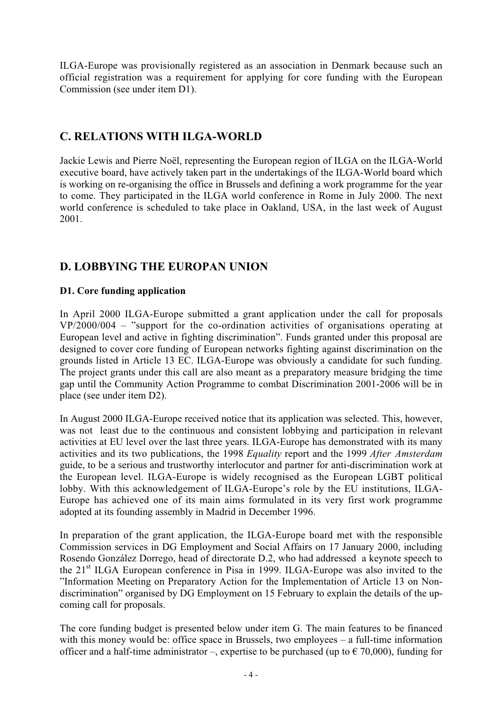ILGA-Europe was provisionally registered as an association in Denmark because such an official registration was a requirement for applying for core funding with the European Commission (see under item D1).

## **C. RELATIONS WITH ILGA-WORLD**

Jackie Lewis and Pierre Noël, representing the European region of ILGA on the ILGA-World executive board, have actively taken part in the undertakings of the ILGA-World board which is working on re-organising the office in Brussels and defining a work programme for the year to come. They participated in the ILGA world conference in Rome in July 2000. The next world conference is scheduled to take place in Oakland, USA, in the last week of August 2001.

## **D. LOBBYING THE EUROPAN UNION**

#### **D1. Core funding application**

In April 2000 ILGA-Europe submitted a grant application under the call for proposals VP/2000/004 – "support for the co-ordination activities of organisations operating at European level and active in fighting discrimination". Funds granted under this proposal are designed to cover core funding of European networks fighting against discrimination on the grounds listed in Article 13 EC. ILGA-Europe was obviously a candidate for such funding. The project grants under this call are also meant as a preparatory measure bridging the time gap until the Community Action Programme to combat Discrimination 2001-2006 will be in place (see under item D2).

In August 2000 ILGA-Europe received notice that its application was selected. This, however, was not least due to the continuous and consistent lobbying and participation in relevant activities at EU level over the last three years. ILGA-Europe has demonstrated with its many activities and its two publications, the 1998 *Equality* report and the 1999 *After Amsterdam* guide, to be a serious and trustworthy interlocutor and partner for anti-discrimination work at the European level. ILGA-Europe is widely recognised as the European LGBT political lobby. With this acknowledgement of ILGA-Europe's role by the EU institutions, ILGA-Europe has achieved one of its main aims formulated in its very first work programme adopted at its founding assembly in Madrid in December 1996.

In preparation of the grant application, the ILGA-Europe board met with the responsible Commission services in DG Employment and Social Affairs on 17 January 2000, including Rosendo González Dorrego, head of directorate D.2, who had addressed a keynote speech to the 21st ILGA European conference in Pisa in 1999. ILGA-Europe was also invited to the "Information Meeting on Preparatory Action for the Implementation of Article 13 on Nondiscrimination" organised by DG Employment on 15 February to explain the details of the upcoming call for proposals.

The core funding budget is presented below under item G. The main features to be financed with this money would be: office space in Brussels, two employees – a full-time information officer and a half-time administrator –, expertise to be purchased (up to  $\epsilon$  70,000), funding for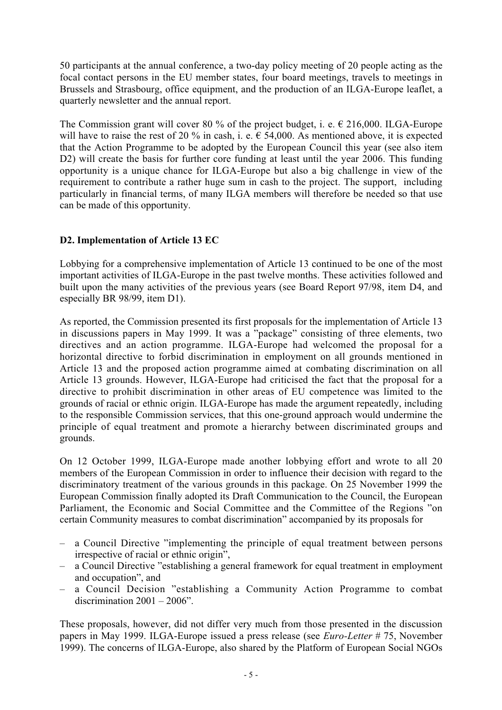50 participants at the annual conference, a two-day policy meeting of 20 people acting as the focal contact persons in the EU member states, four board meetings, travels to meetings in Brussels and Strasbourg, office equipment, and the production of an ILGA-Europe leaflet, a quarterly newsletter and the annual report.

The Commission grant will cover 80 % of the project budget, i. e.  $\epsilon$  216,000. ILGA-Europe will have to raise the rest of 20 % in cash, i. e.  $\epsilon$  54,000. As mentioned above, it is expected that the Action Programme to be adopted by the European Council this year (see also item D2) will create the basis for further core funding at least until the year 2006. This funding opportunity is a unique chance for ILGA-Europe but also a big challenge in view of the requirement to contribute a rather huge sum in cash to the project. The support, including particularly in financial terms, of many ILGA members will therefore be needed so that use can be made of this opportunity.

#### **D2. Implementation of Article 13 EC**

Lobbying for a comprehensive implementation of Article 13 continued to be one of the most important activities of ILGA-Europe in the past twelve months. These activities followed and built upon the many activities of the previous years (see Board Report 97/98, item D4, and especially BR 98/99, item D1).

As reported, the Commission presented its first proposals for the implementation of Article 13 in discussions papers in May 1999. It was a "package" consisting of three elements, two directives and an action programme. ILGA-Europe had welcomed the proposal for a horizontal directive to forbid discrimination in employment on all grounds mentioned in Article 13 and the proposed action programme aimed at combating discrimination on all Article 13 grounds. However, ILGA-Europe had criticised the fact that the proposal for a directive to prohibit discrimination in other areas of EU competence was limited to the grounds of racial or ethnic origin. ILGA-Europe has made the argument repeatedly, including to the responsible Commission services, that this one-ground approach would undermine the principle of equal treatment and promote a hierarchy between discriminated groups and grounds.

On 12 October 1999, ILGA-Europe made another lobbying effort and wrote to all 20 members of the European Commission in order to influence their decision with regard to the discriminatory treatment of the various grounds in this package. On 25 November 1999 the European Commission finally adopted its Draft Communication to the Council, the European Parliament, the Economic and Social Committee and the Committee of the Regions "on certain Community measures to combat discrimination" accompanied by its proposals for

- a Council Directive "implementing the principle of equal treatment between persons irrespective of racial or ethnic origin",
- a Council Directive "establishing a general framework for equal treatment in employment and occupation", and
- a Council Decision "establishing a Community Action Programme to combat discrimination  $2001 - 2006$ ".

These proposals, however, did not differ very much from those presented in the discussion papers in May 1999. ILGA-Europe issued a press release (see *Euro-Letter* # 75, November 1999). The concerns of ILGA-Europe, also shared by the Platform of European Social NGOs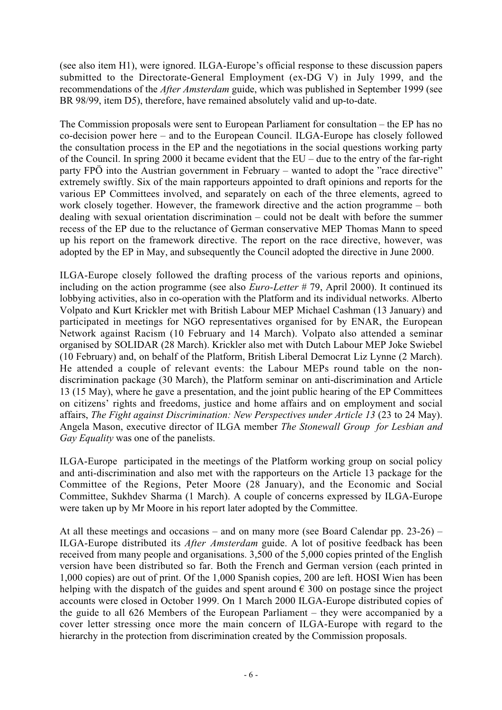(see also item H1), were ignored. ILGA-Europe's official response to these discussion papers submitted to the Directorate-General Employment (ex-DG V) in July 1999, and the recommendations of the *After Amsterdam* guide, which was published in September 1999 (see BR 98/99, item D5), therefore, have remained absolutely valid and up-to-date.

The Commission proposals were sent to European Parliament for consultation – the EP has no co-decision power here – and to the European Council. ILGA-Europe has closely followed the consultation process in the EP and the negotiations in the social questions working party of the Council. In spring 2000 it became evident that the EU – due to the entry of the far-right party FPÖ into the Austrian government in February – wanted to adopt the "race directive" extremely swiftly. Six of the main rapporteurs appointed to draft opinions and reports for the various EP Committees involved, and separately on each of the three elements, agreed to work closely together. However, the framework directive and the action programme – both dealing with sexual orientation discrimination – could not be dealt with before the summer recess of the EP due to the reluctance of German conservative MEP Thomas Mann to speed up his report on the framework directive. The report on the race directive, however, was adopted by the EP in May, and subsequently the Council adopted the directive in June 2000.

ILGA-Europe closely followed the drafting process of the various reports and opinions, including on the action programme (see also *Euro-Letter* # 79, April 2000). It continued its lobbying activities, also in co-operation with the Platform and its individual networks. Alberto Volpato and Kurt Krickler met with British Labour MEP Michael Cashman (13 January) and participated in meetings for NGO representatives organised for by ENAR, the European Network against Racism (10 February and 14 March). Volpato also attended a seminar organised by SOLIDAR (28 March). Krickler also met with Dutch Labour MEP Joke Swiebel (10 February) and, on behalf of the Platform, British Liberal Democrat Liz Lynne (2 March). He attended a couple of relevant events: the Labour MEPs round table on the nondiscrimination package (30 March), the Platform seminar on anti-discrimination and Article 13 (15 May), where he gave a presentation, and the joint public hearing of the EP Committees on citizens' rights and freedoms, justice and home affairs and on employment and social affairs, *The Fight against Discrimination: New Perspectives under Article 13* (23 to 24 May). Angela Mason, executive director of ILGA member *The Stonewall Group for Lesbian and Gay Equality* was one of the panelists.

ILGA-Europe participated in the meetings of the Platform working group on social policy and anti-discrimination and also met with the rapporteurs on the Article 13 package for the Committee of the Regions, Peter Moore (28 January), and the Economic and Social Committee, Sukhdev Sharma (1 March). A couple of concerns expressed by ILGA-Europe were taken up by Mr Moore in his report later adopted by the Committee.

At all these meetings and occasions – and on many more (see Board Calendar pp. 23-26) – ILGA-Europe distributed its *After Amsterdam* guide. A lot of positive feedback has been received from many people and organisations. 3,500 of the 5,000 copies printed of the English version have been distributed so far. Both the French and German version (each printed in 1,000 copies) are out of print. Of the 1,000 Spanish copies, 200 are left. HOSI Wien has been helping with the dispatch of the guides and spent around  $\epsilon$  300 on postage since the project accounts were closed in October 1999. On 1 March 2000 ILGA-Europe distributed copies of the guide to all 626 Members of the European Parliament – they were accompanied by a cover letter stressing once more the main concern of ILGA-Europe with regard to the hierarchy in the protection from discrimination created by the Commission proposals.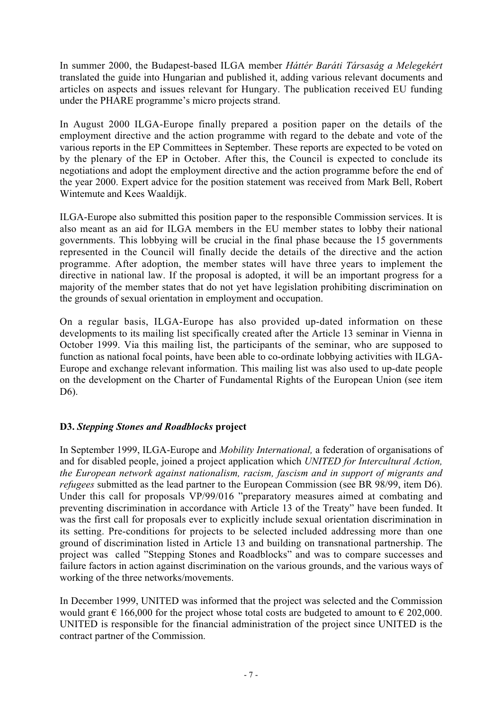In summer 2000, the Budapest-based ILGA member *Háttér Baráti Társaság a Melegekért* translated the guide into Hungarian and published it, adding various relevant documents and articles on aspects and issues relevant for Hungary. The publication received EU funding under the PHARE programme's micro projects strand.

In August 2000 ILGA-Europe finally prepared a position paper on the details of the employment directive and the action programme with regard to the debate and vote of the various reports in the EP Committees in September. These reports are expected to be voted on by the plenary of the EP in October. After this, the Council is expected to conclude its negotiations and adopt the employment directive and the action programme before the end of the year 2000. Expert advice for the position statement was received from Mark Bell, Robert Wintemute and Kees Waaldijk.

ILGA-Europe also submitted this position paper to the responsible Commission services. It is also meant as an aid for ILGA members in the EU member states to lobby their national governments. This lobbying will be crucial in the final phase because the 15 governments represented in the Council will finally decide the details of the directive and the action programme. After adoption, the member states will have three years to implement the directive in national law. If the proposal is adopted, it will be an important progress for a majority of the member states that do not yet have legislation prohibiting discrimination on the grounds of sexual orientation in employment and occupation.

On a regular basis, ILGA-Europe has also provided up-dated information on these developments to its mailing list specifically created after the Article 13 seminar in Vienna in October 1999. Via this mailing list, the participants of the seminar, who are supposed to function as national focal points, have been able to co-ordinate lobbying activities with ILGA-Europe and exchange relevant information. This mailing list was also used to up-date people on the development on the Charter of Fundamental Rights of the European Union (see item D6).

#### **D3.** *Stepping Stones and Roadblocks* **project**

In September 1999, ILGA-Europe and *Mobility International,* a federation of organisations of and for disabled people, joined a project application which *UNITED for Intercultural Action, the European network against nationalism, racism, fascism and in support of migrants and refugees* submitted as the lead partner to the European Commission (see BR 98/99, item D6). Under this call for proposals VP/99/016 "preparatory measures aimed at combating and preventing discrimination in accordance with Article 13 of the Treaty" have been funded. It was the first call for proposals ever to explicitly include sexual orientation discrimination in its setting. Pre-conditions for projects to be selected included addressing more than one ground of discrimination listed in Article 13 and building on transnational partnership. The project was called "Stepping Stones and Roadblocks" and was to compare successes and failure factors in action against discrimination on the various grounds, and the various ways of working of the three networks/movements.

In December 1999, UNITED was informed that the project was selected and the Commission would grant  $\epsilon$  166,000 for the project whose total costs are budgeted to amount to  $\epsilon$  202,000. UNITED is responsible for the financial administration of the project since UNITED is the contract partner of the Commission.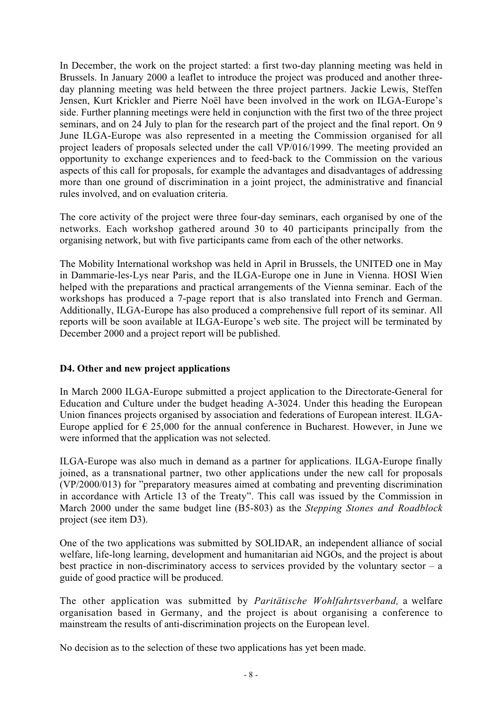In December, the work on the project started: a first two-day planning meeting was held in Brussels. In January 2000 a leaflet to introduce the project was produced and another threeday planning meeting was held between the three project partners. Jackie Lewis, Steffen Jensen, Kurt Krickler and Pierre Noël have been involved in the work on ILGA-Europe's side. Further planning meetings were held in conjunction with the first two of the three project seminars, and on 24 July to plan for the research part of the project and the final report. On 9 June ILGA-Europe was also represented in a meeting the Commission organised for all project leaders of proposals selected under the call VP/016/1999. The meeting provided an opportunity to exchange experiences and to feed-back to the Commission on the various aspects of this call for proposals, for example the advantages and disadvantages of addressing more than one ground of discrimination in a joint project, the administrative and financial rules involved, and on evaluation criteria.

The core activity of the project were three four-day seminars, each organised by one of the networks. Each workshop gathered around 30 to 40 participants principally from the organising network, but with five participants came from each of the other networks.

The Mobility International workshop was held in April in Brussels, the UNITED one in May in Dammarie-les-Lys near Paris, and the ILGA-Europe one in June in Vienna. HOSI Wien helped with the preparations and practical arrangements of the Vienna seminar. Each of the workshops has produced a 7-page report that is also translated into French and German. Additionally, ILGA-Europe has also produced a comprehensive full report of its seminar. All reports will be soon available at ILGA-Europe's web site. The project will be terminated by December 2000 and a project report will be published.

#### **D4. Other and new project applications**

In March 2000 ILGA-Europe submitted a project application to the Directorate-General for Education and Culture under the budget heading A-3024. Under this heading the European Union finances projects organised by association and federations of European interest. ILGA-Europe applied for  $\epsilon$  25,000 for the annual conference in Bucharest. However, in June we were informed that the application was not selected.

ILGA-Europe was also much in demand as a partner for applications. ILGA-Europe finally joined, as a transnational partner, two other applications under the new call for proposals (VP/2000/013) for "preparatory measures aimed at combating and preventing discrimination in accordance with Article 13 of the Treaty". This call was issued by the Commission in March 2000 under the same budget line (B5-803) as the *Stepping Stones and Roadblock* project (see item D3).

One of the two applications was submitted by SOLIDAR, an independent alliance of social welfare, life-long learning, development and humanitarian aid NGOs, and the project is about best practice in non-discriminatory access to services provided by the voluntary sector  $- a$ guide of good practice will be produced.

The other application was submitted by *Paritätische Wohlfahrtsverband,* a welfare organisation based in Germany, and the project is about organising a conference to mainstream the results of anti-discrimination projects on the European level.

No decision as to the selection of these two applications has yet been made.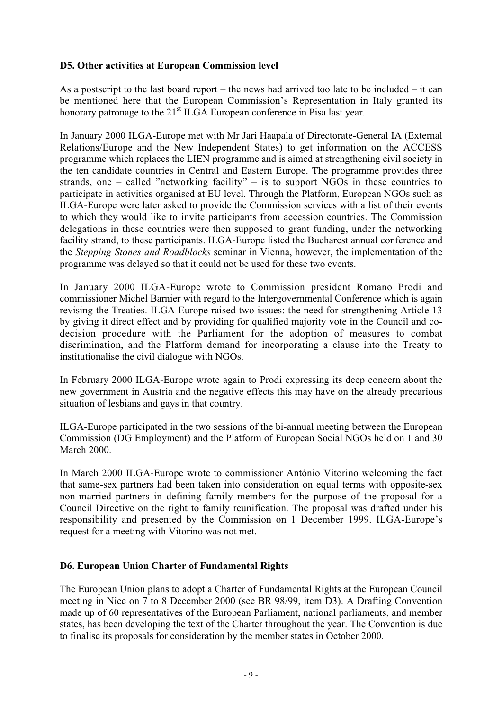#### **D5. Other activities at European Commission level**

As a postscript to the last board report – the news had arrived too late to be included – it can be mentioned here that the European Commission's Representation in Italy granted its honorary patronage to the  $21<sup>st</sup> I LGA$  European conference in Pisa last year.

In January 2000 ILGA-Europe met with Mr Jari Haapala of Directorate-General IA (External Relations/Europe and the New Independent States) to get information on the ACCESS programme which replaces the LIEN programme and is aimed at strengthening civil society in the ten candidate countries in Central and Eastern Europe. The programme provides three strands, one – called "networking facility" – is to support  $\overline{\text{NGOs}}$  in these countries to participate in activities organised at EU level. Through the Platform, European NGOs such as ILGA-Europe were later asked to provide the Commission services with a list of their events to which they would like to invite participants from accession countries. The Commission delegations in these countries were then supposed to grant funding, under the networking facility strand, to these participants. ILGA-Europe listed the Bucharest annual conference and the *Stepping Stones and Roadblocks* seminar in Vienna, however, the implementation of the programme was delayed so that it could not be used for these two events.

In January 2000 ILGA-Europe wrote to Commission president Romano Prodi and commissioner Michel Barnier with regard to the Intergovernmental Conference which is again revising the Treaties. ILGA-Europe raised two issues: the need for strengthening Article 13 by giving it direct effect and by providing for qualified majority vote in the Council and codecision procedure with the Parliament for the adoption of measures to combat discrimination, and the Platform demand for incorporating a clause into the Treaty to institutionalise the civil dialogue with NGOs.

In February 2000 ILGA-Europe wrote again to Prodi expressing its deep concern about the new government in Austria and the negative effects this may have on the already precarious situation of lesbians and gays in that country.

ILGA-Europe participated in the two sessions of the bi-annual meeting between the European Commission (DG Employment) and the Platform of European Social NGOs held on 1 and 30 March 2000.

In March 2000 ILGA-Europe wrote to commissioner António Vitorino welcoming the fact that same-sex partners had been taken into consideration on equal terms with opposite-sex non-married partners in defining family members for the purpose of the proposal for a Council Directive on the right to family reunification. The proposal was drafted under his responsibility and presented by the Commission on 1 December 1999. ILGA-Europe's request for a meeting with Vitorino was not met.

#### **D6. European Union Charter of Fundamental Rights**

The European Union plans to adopt a Charter of Fundamental Rights at the European Council meeting in Nice on 7 to 8 December 2000 (see BR 98/99, item D3). A Drafting Convention made up of 60 representatives of the European Parliament, national parliaments, and member states, has been developing the text of the Charter throughout the year. The Convention is due to finalise its proposals for consideration by the member states in October 2000.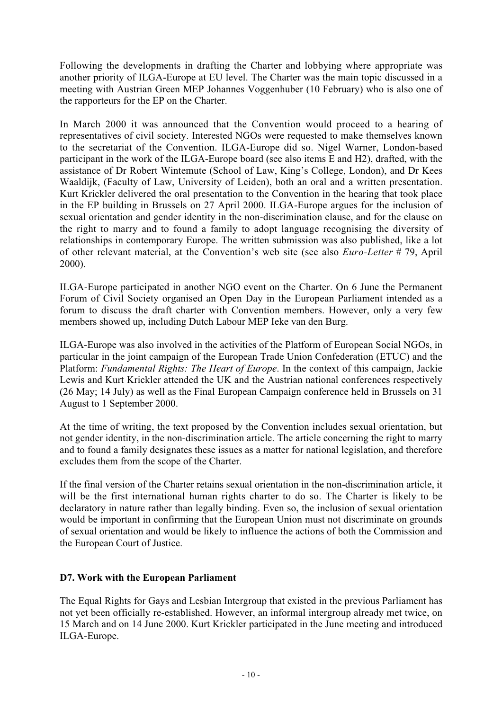Following the developments in drafting the Charter and lobbying where appropriate was another priority of ILGA-Europe at EU level. The Charter was the main topic discussed in a meeting with Austrian Green MEP Johannes Voggenhuber (10 February) who is also one of the rapporteurs for the EP on the Charter.

In March 2000 it was announced that the Convention would proceed to a hearing of representatives of civil society. Interested NGOs were requested to make themselves known to the secretariat of the Convention. ILGA-Europe did so. Nigel Warner, London-based participant in the work of the ILGA-Europe board (see also items E and H2), drafted, with the assistance of Dr Robert Wintemute (School of Law, King's College, London), and Dr Kees Waaldijk, (Faculty of Law, University of Leiden), both an oral and a written presentation. Kurt Krickler delivered the oral presentation to the Convention in the hearing that took place in the EP building in Brussels on 27 April 2000. ILGA-Europe argues for the inclusion of sexual orientation and gender identity in the non-discrimination clause, and for the clause on the right to marry and to found a family to adopt language recognising the diversity of relationships in contemporary Europe. The written submission was also published, like a lot of other relevant material, at the Convention's web site (see also *Euro-Letter* # 79, April 2000).

ILGA-Europe participated in another NGO event on the Charter. On 6 June the Permanent Forum of Civil Society organised an Open Day in the European Parliament intended as a forum to discuss the draft charter with Convention members. However, only a very few members showed up, including Dutch Labour MEP Ieke van den Burg.

ILGA-Europe was also involved in the activities of the Platform of European Social NGOs, in particular in the joint campaign of the European Trade Union Confederation (ETUC) and the Platform: *Fundamental Rights: The Heart of Europe*. In the context of this campaign, Jackie Lewis and Kurt Krickler attended the UK and the Austrian national conferences respectively (26 May; 14 July) as well as the Final European Campaign conference held in Brussels on 31 August to 1 September 2000.

At the time of writing, the text proposed by the Convention includes sexual orientation, but not gender identity, in the non-discrimination article. The article concerning the right to marry and to found a family designates these issues as a matter for national legislation, and therefore excludes them from the scope of the Charter.

If the final version of the Charter retains sexual orientation in the non-discrimination article, it will be the first international human rights charter to do so. The Charter is likely to be declaratory in nature rather than legally binding. Even so, the inclusion of sexual orientation would be important in confirming that the European Union must not discriminate on grounds of sexual orientation and would be likely to influence the actions of both the Commission and the European Court of Justice.

#### **D7. Work with the European Parliament**

The Equal Rights for Gays and Lesbian Intergroup that existed in the previous Parliament has not yet been officially re-established. However, an informal intergroup already met twice, on 15 March and on 14 June 2000. Kurt Krickler participated in the June meeting and introduced ILGA-Europe.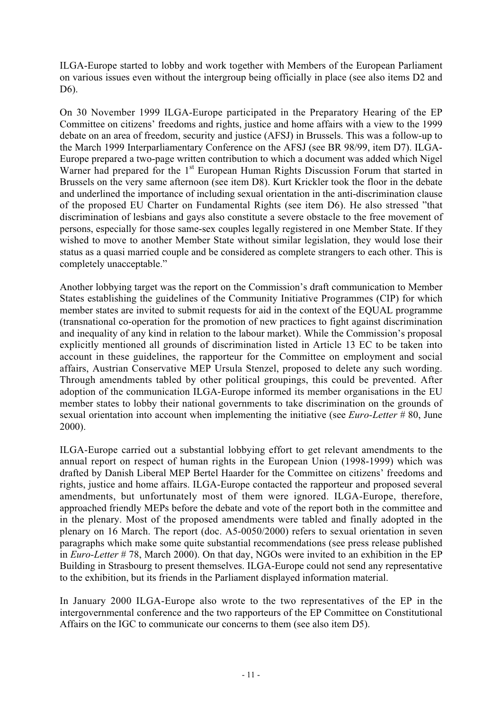ILGA-Europe started to lobby and work together with Members of the European Parliament on various issues even without the intergroup being officially in place (see also items D2 and D6).

On 30 November 1999 ILGA-Europe participated in the Preparatory Hearing of the EP Committee on citizens' freedoms and rights, justice and home affairs with a view to the 1999 debate on an area of freedom, security and justice (AFSJ) in Brussels. This was a follow-up to the March 1999 Interparliamentary Conference on the AFSJ (see BR 98/99, item D7). ILGA-Europe prepared a two-page written contribution to which a document was added which Nigel Warner had prepared for the  $1<sup>st</sup>$  European Human Rights Discussion Forum that started in Brussels on the very same afternoon (see item D8). Kurt Krickler took the floor in the debate and underlined the importance of including sexual orientation in the anti-discrimination clause of the proposed EU Charter on Fundamental Rights (see item D6). He also stressed "that discrimination of lesbians and gays also constitute a severe obstacle to the free movement of persons, especially for those same-sex couples legally registered in one Member State. If they wished to move to another Member State without similar legislation, they would lose their status as a quasi married couple and be considered as complete strangers to each other. This is completely unacceptable."

Another lobbying target was the report on the Commission's draft communication to Member States establishing the guidelines of the Community Initiative Programmes (CIP) for which member states are invited to submit requests for aid in the context of the EQUAL programme (transnational co-operation for the promotion of new practices to fight against discrimination and inequality of any kind in relation to the labour market). While the Commission's proposal explicitly mentioned all grounds of discrimination listed in Article 13 EC to be taken into account in these guidelines, the rapporteur for the Committee on employment and social affairs, Austrian Conservative MEP Ursula Stenzel, proposed to delete any such wording. Through amendments tabled by other political groupings, this could be prevented. After adoption of the communication ILGA-Europe informed its member organisations in the EU member states to lobby their national governments to take discrimination on the grounds of sexual orientation into account when implementing the initiative (see *Euro-Letter* # 80, June 2000).

ILGA-Europe carried out a substantial lobbying effort to get relevant amendments to the annual report on respect of human rights in the European Union (1998-1999) which was drafted by Danish Liberal MEP Bertel Haarder for the Committee on citizens' freedoms and rights, justice and home affairs. ILGA-Europe contacted the rapporteur and proposed several amendments, but unfortunately most of them were ignored. ILGA-Europe, therefore, approached friendly MEPs before the debate and vote of the report both in the committee and in the plenary. Most of the proposed amendments were tabled and finally adopted in the plenary on 16 March. The report (doc. A5-0050/2000) refers to sexual orientation in seven paragraphs which make some quite substantial recommendations (see press release published in *Euro-Letter* # 78, March 2000). On that day, NGOs were invited to an exhibition in the EP Building in Strasbourg to present themselves. ILGA-Europe could not send any representative to the exhibition, but its friends in the Parliament displayed information material.

In January 2000 ILGA-Europe also wrote to the two representatives of the EP in the intergovernmental conference and the two rapporteurs of the EP Committee on Constitutional Affairs on the IGC to communicate our concerns to them (see also item D5).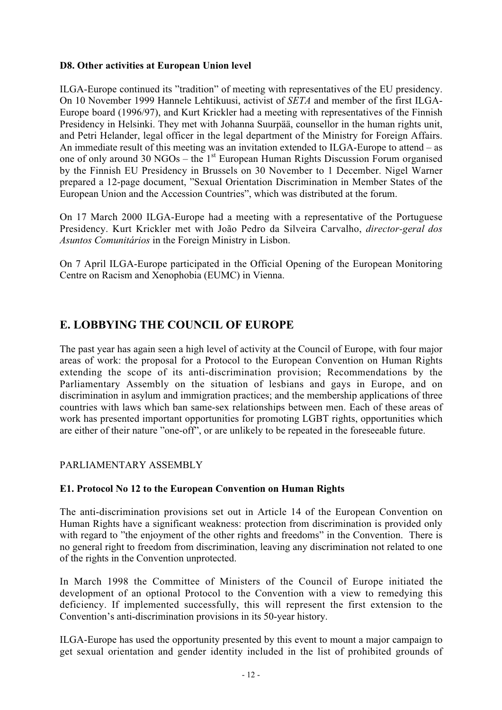#### **D8. Other activities at European Union level**

ILGA-Europe continued its "tradition" of meeting with representatives of the EU presidency. On 10 November 1999 Hannele Lehtikuusi, activist of *SETA* and member of the first ILGA-Europe board (1996/97), and Kurt Krickler had a meeting with representatives of the Finnish Presidency in Helsinki. They met with Johanna Suurpää, counsellor in the human rights unit, and Petri Helander, legal officer in the legal department of the Ministry for Foreign Affairs. An immediate result of this meeting was an invitation extended to ILGA-Europe to attend – as one of only around 30 NGOs – the  $1<sup>st</sup>$  European Human Rights Discussion Forum organised by the Finnish EU Presidency in Brussels on 30 November to 1 December. Nigel Warner prepared a 12-page document, "Sexual Orientation Discrimination in Member States of the European Union and the Accession Countries", which was distributed at the forum.

On 17 March 2000 ILGA-Europe had a meeting with a representative of the Portuguese Presidency. Kurt Krickler met with João Pedro da Silveira Carvalho, *director-geral dos Asuntos Comunitários* in the Foreign Ministry in Lisbon.

On 7 April ILGA-Europe participated in the Official Opening of the European Monitoring Centre on Racism and Xenophobia (EUMC) in Vienna.

## **E. LOBBYING THE COUNCIL OF EUROPE**

The past year has again seen a high level of activity at the Council of Europe, with four major areas of work: the proposal for a Protocol to the European Convention on Human Rights extending the scope of its anti-discrimination provision; Recommendations by the Parliamentary Assembly on the situation of lesbians and gays in Europe, and on discrimination in asylum and immigration practices; and the membership applications of three countries with laws which ban same-sex relationships between men. Each of these areas of work has presented important opportunities for promoting LGBT rights, opportunities which are either of their nature "one-off", or are unlikely to be repeated in the foreseeable future.

#### PARLIAMENTARY ASSEMBLY

#### **E1. Protocol No 12 to the European Convention on Human Rights**

The anti-discrimination provisions set out in Article 14 of the European Convention on Human Rights have a significant weakness: protection from discrimination is provided only with regard to "the enjoyment of the other rights and freedoms" in the Convention. There is no general right to freedom from discrimination, leaving any discrimination not related to one of the rights in the Convention unprotected.

In March 1998 the Committee of Ministers of the Council of Europe initiated the development of an optional Protocol to the Convention with a view to remedying this deficiency. If implemented successfully, this will represent the first extension to the Convention's anti-discrimination provisions in its 50-year history.

ILGA-Europe has used the opportunity presented by this event to mount a major campaign to get sexual orientation and gender identity included in the list of prohibited grounds of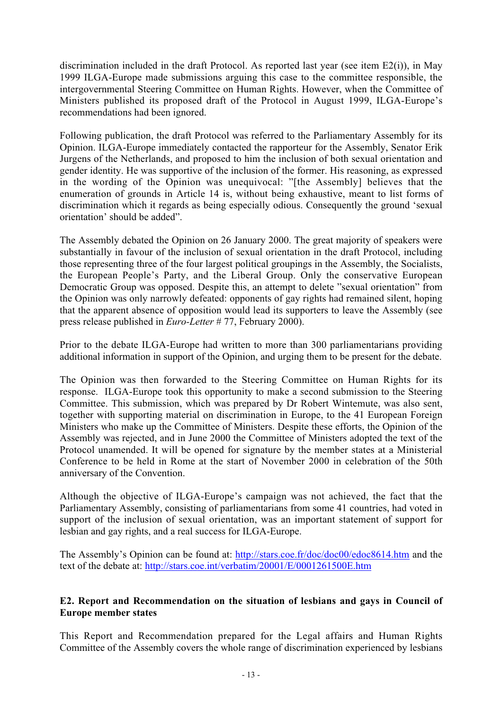discrimination included in the draft Protocol. As reported last year (see item E2(i)), in May 1999 ILGA-Europe made submissions arguing this case to the committee responsible, the intergovernmental Steering Committee on Human Rights. However, when the Committee of Ministers published its proposed draft of the Protocol in August 1999, ILGA-Europe's recommendations had been ignored.

Following publication, the draft Protocol was referred to the Parliamentary Assembly for its Opinion. ILGA-Europe immediately contacted the rapporteur for the Assembly, Senator Erik Jurgens of the Netherlands, and proposed to him the inclusion of both sexual orientation and gender identity. He was supportive of the inclusion of the former. His reasoning, as expressed in the wording of the Opinion was unequivocal: "[the Assembly] believes that the enumeration of grounds in Article 14 is, without being exhaustive, meant to list forms of discrimination which it regards as being especially odious. Consequently the ground 'sexual orientation' should be added".

The Assembly debated the Opinion on 26 January 2000. The great majority of speakers were substantially in favour of the inclusion of sexual orientation in the draft Protocol, including those representing three of the four largest political groupings in the Assembly, the Socialists, the European People's Party, and the Liberal Group. Only the conservative European Democratic Group was opposed. Despite this, an attempt to delete "sexual orientation" from the Opinion was only narrowly defeated: opponents of gay rights had remained silent, hoping that the apparent absence of opposition would lead its supporters to leave the Assembly (see press release published in *Euro-Letter* # 77, February 2000).

Prior to the debate ILGA-Europe had written to more than 300 parliamentarians providing additional information in support of the Opinion, and urging them to be present for the debate.

The Opinion was then forwarded to the Steering Committee on Human Rights for its response. ILGA-Europe took this opportunity to make a second submission to the Steering Committee. This submission, which was prepared by Dr Robert Wintemute, was also sent, together with supporting material on discrimination in Europe, to the 41 European Foreign Ministers who make up the Committee of Ministers. Despite these efforts, the Opinion of the Assembly was rejected, and in June 2000 the Committee of Ministers adopted the text of the Protocol unamended. It will be opened for signature by the member states at a Ministerial Conference to be held in Rome at the start of November 2000 in celebration of the 50th anniversary of the Convention.

Although the objective of ILGA-Europe's campaign was not achieved, the fact that the Parliamentary Assembly, consisting of parliamentarians from some 41 countries, had voted in support of the inclusion of sexual orientation, was an important statement of support for lesbian and gay rights, and a real success for ILGA-Europe.

The Assembly's Opinion can be found at: http://stars.coe.fr/doc/doc00/edoc8614.htm and the text of the debate at: http://stars.coe.int/verbatim/20001/E/0001261500E.htm

#### **E2. Report and Recommendation on the situation of lesbians and gays in Council of Europe member states**

This Report and Recommendation prepared for the Legal affairs and Human Rights Committee of the Assembly covers the whole range of discrimination experienced by lesbians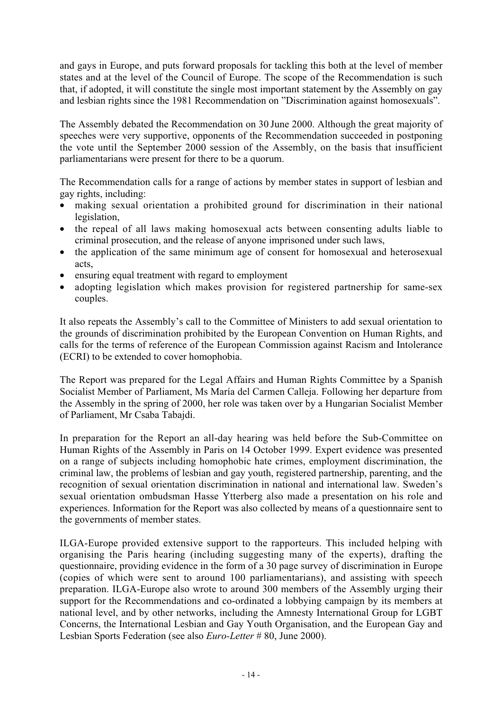and gays in Europe, and puts forward proposals for tackling this both at the level of member states and at the level of the Council of Europe. The scope of the Recommendation is such that, if adopted, it will constitute the single most important statement by the Assembly on gay and lesbian rights since the 1981 Recommendation on "Discrimination against homosexuals".

The Assembly debated the Recommendation on 30 June 2000. Although the great majority of speeches were very supportive, opponents of the Recommendation succeeded in postponing the vote until the September 2000 session of the Assembly, on the basis that insufficient parliamentarians were present for there to be a quorum.

The Recommendation calls for a range of actions by member states in support of lesbian and gay rights, including:

- making sexual orientation a prohibited ground for discrimination in their national legislation,
- the repeal of all laws making homosexual acts between consenting adults liable to criminal prosecution, and the release of anyone imprisoned under such laws,
- the application of the same minimum age of consent for homosexual and heterosexual acts,
- ensuring equal treatment with regard to employment
- adopting legislation which makes provision for registered partnership for same-sex couples.

It also repeats the Assembly's call to the Committee of Ministers to add sexual orientation to the grounds of discrimination prohibited by the European Convention on Human Rights, and calls for the terms of reference of the European Commission against Racism and Intolerance (ECRI) to be extended to cover homophobia.

The Report was prepared for the Legal Affairs and Human Rights Committee by a Spanish Socialist Member of Parliament, Ms María del Carmen Calleja. Following her departure from the Assembly in the spring of 2000, her role was taken over by a Hungarian Socialist Member of Parliament, Mr Csaba Tabajdi.

In preparation for the Report an all-day hearing was held before the Sub-Committee on Human Rights of the Assembly in Paris on 14 October 1999. Expert evidence was presented on a range of subjects including homophobic hate crimes, employment discrimination, the criminal law, the problems of lesbian and gay youth, registered partnership, parenting, and the recognition of sexual orientation discrimination in national and international law. Sweden's sexual orientation ombudsman Hasse Ytterberg also made a presentation on his role and experiences. Information for the Report was also collected by means of a questionnaire sent to the governments of member states.

ILGA-Europe provided extensive support to the rapporteurs. This included helping with organising the Paris hearing (including suggesting many of the experts), drafting the questionnaire, providing evidence in the form of a 30 page survey of discrimination in Europe (copies of which were sent to around 100 parliamentarians), and assisting with speech preparation. ILGA-Europe also wrote to around 300 members of the Assembly urging their support for the Recommendations and co-ordinated a lobbying campaign by its members at national level, and by other networks, including the Amnesty International Group for LGBT Concerns, the International Lesbian and Gay Youth Organisation, and the European Gay and Lesbian Sports Federation (see also *Euro-Letter* # 80, June 2000).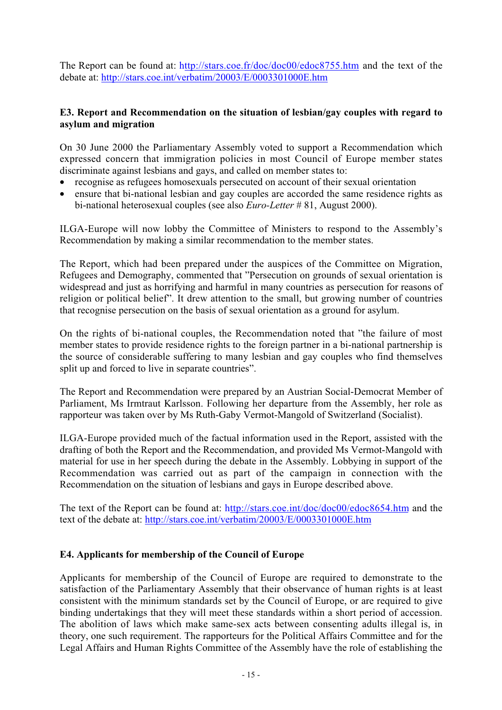The Report can be found at: http://stars.coe.fr/doc/doc00/edoc8755.htm and the text of the debate at: http://stars.coe.int/verbatim/20003/E/0003301000E.htm

#### **E3. Report and Recommendation on the situation of lesbian/gay couples with regard to asylum and migration**

On 30 June 2000 the Parliamentary Assembly voted to support a Recommendation which expressed concern that immigration policies in most Council of Europe member states discriminate against lesbians and gays, and called on member states to:

- recognise as refugees homosexuals persecuted on account of their sexual orientation
- ensure that bi-national lesbian and gay couples are accorded the same residence rights as bi-national heterosexual couples (see also *Euro-Letter* # 81, August 2000).

ILGA-Europe will now lobby the Committee of Ministers to respond to the Assembly's Recommendation by making a similar recommendation to the member states.

The Report, which had been prepared under the auspices of the Committee on Migration, Refugees and Demography, commented that "Persecution on grounds of sexual orientation is widespread and just as horrifying and harmful in many countries as persecution for reasons of religion or political belief". It drew attention to the small, but growing number of countries that recognise persecution on the basis of sexual orientation as a ground for asylum.

On the rights of bi-national couples, the Recommendation noted that "the failure of most member states to provide residence rights to the foreign partner in a bi-national partnership is the source of considerable suffering to many lesbian and gay couples who find themselves split up and forced to live in separate countries".

The Report and Recommendation were prepared by an Austrian Social-Democrat Member of Parliament, Ms Irmtraut Karlsson. Following her departure from the Assembly, her role as rapporteur was taken over by Ms Ruth-Gaby Vermot-Mangold of Switzerland (Socialist).

ILGA-Europe provided much of the factual information used in the Report, assisted with the drafting of both the Report and the Recommendation, and provided Ms Vermot-Mangold with material for use in her speech during the debate in the Assembly. Lobbying in support of the Recommendation was carried out as part of the campaign in connection with the Recommendation on the situation of lesbians and gays in Europe described above.

The text of the Report can be found at: http://stars.coe.int/doc/doc00/edoc8654.htm and the text of the debate at: http://stars.coe.int/verbatim/20003/E/0003301000E.htm

#### **E4. Applicants for membership of the Council of Europe**

Applicants for membership of the Council of Europe are required to demonstrate to the satisfaction of the Parliamentary Assembly that their observance of human rights is at least consistent with the minimum standards set by the Council of Europe, or are required to give binding undertakings that they will meet these standards within a short period of accession. The abolition of laws which make same-sex acts between consenting adults illegal is, in theory, one such requirement. The rapporteurs for the Political Affairs Committee and for the Legal Affairs and Human Rights Committee of the Assembly have the role of establishing the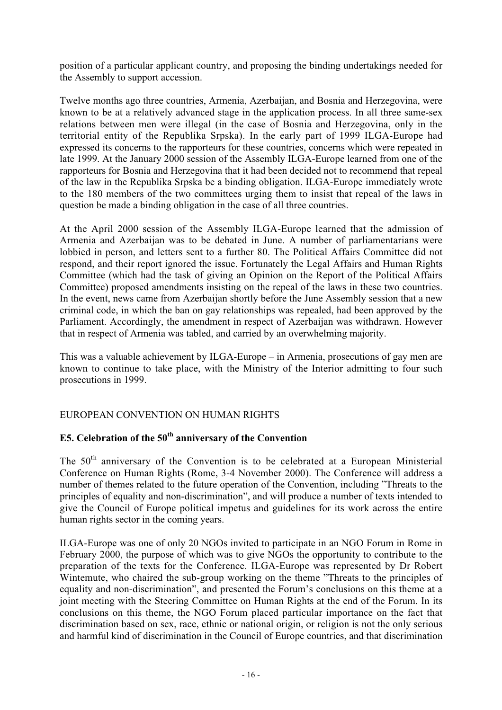position of a particular applicant country, and proposing the binding undertakings needed for the Assembly to support accession.

Twelve months ago three countries, Armenia, Azerbaijan, and Bosnia and Herzegovina, were known to be at a relatively advanced stage in the application process. In all three same-sex relations between men were illegal (in the case of Bosnia and Herzegovina, only in the territorial entity of the Republika Srpska). In the early part of 1999 ILGA-Europe had expressed its concerns to the rapporteurs for these countries, concerns which were repeated in late 1999. At the January 2000 session of the Assembly ILGA-Europe learned from one of the rapporteurs for Bosnia and Herzegovina that it had been decided not to recommend that repeal of the law in the Republika Srpska be a binding obligation. ILGA-Europe immediately wrote to the 180 members of the two committees urging them to insist that repeal of the laws in question be made a binding obligation in the case of all three countries.

At the April 2000 session of the Assembly ILGA-Europe learned that the admission of Armenia and Azerbaijan was to be debated in June. A number of parliamentarians were lobbied in person, and letters sent to a further 80. The Political Affairs Committee did not respond, and their report ignored the issue. Fortunately the Legal Affairs and Human Rights Committee (which had the task of giving an Opinion on the Report of the Political Affairs Committee) proposed amendments insisting on the repeal of the laws in these two countries. In the event, news came from Azerbaijan shortly before the June Assembly session that a new criminal code, in which the ban on gay relationships was repealed, had been approved by the Parliament. Accordingly, the amendment in respect of Azerbaijan was withdrawn. However that in respect of Armenia was tabled, and carried by an overwhelming majority.

This was a valuable achievement by ILGA-Europe – in Armenia, prosecutions of gay men are known to continue to take place, with the Ministry of the Interior admitting to four such prosecutions in 1999.

#### EUROPEAN CONVENTION ON HUMAN RIGHTS

## **E5. Celebration of the 50th anniversary of the Convention**

The 50<sup>th</sup> anniversary of the Convention is to be celebrated at a European Ministerial Conference on Human Rights (Rome, 3-4 November 2000). The Conference will address a number of themes related to the future operation of the Convention, including "Threats to the principles of equality and non-discrimination", and will produce a number of texts intended to give the Council of Europe political impetus and guidelines for its work across the entire human rights sector in the coming years.

ILGA-Europe was one of only 20 NGOs invited to participate in an NGO Forum in Rome in February 2000, the purpose of which was to give NGOs the opportunity to contribute to the preparation of the texts for the Conference. ILGA-Europe was represented by Dr Robert Wintemute, who chaired the sub-group working on the theme "Threats to the principles of equality and non-discrimination", and presented the Forum's conclusions on this theme at a joint meeting with the Steering Committee on Human Rights at the end of the Forum. In its conclusions on this theme, the NGO Forum placed particular importance on the fact that discrimination based on sex, race, ethnic or national origin, or religion is not the only serious and harmful kind of discrimination in the Council of Europe countries, and that discrimination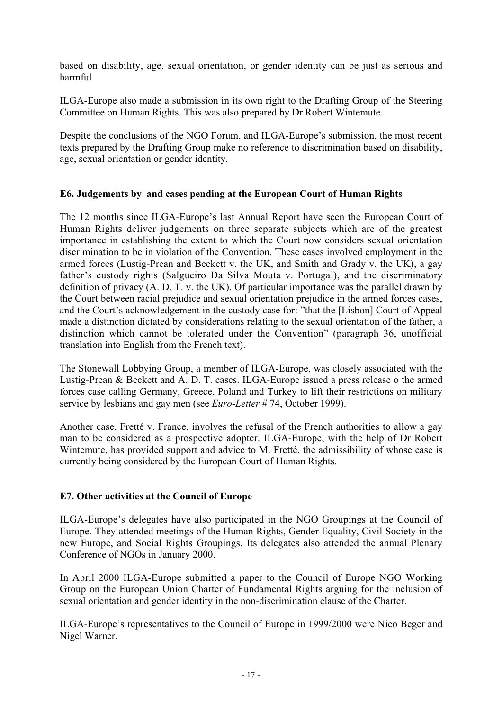based on disability, age, sexual orientation, or gender identity can be just as serious and harmful.

ILGA-Europe also made a submission in its own right to the Drafting Group of the Steering Committee on Human Rights. This was also prepared by Dr Robert Wintemute.

Despite the conclusions of the NGO Forum, and ILGA-Europe's submission, the most recent texts prepared by the Drafting Group make no reference to discrimination based on disability, age, sexual orientation or gender identity.

#### **E6. Judgements by and cases pending at the European Court of Human Rights**

The 12 months since ILGA-Europe's last Annual Report have seen the European Court of Human Rights deliver judgements on three separate subjects which are of the greatest importance in establishing the extent to which the Court now considers sexual orientation discrimination to be in violation of the Convention. These cases involved employment in the armed forces (Lustig-Prean and Beckett v. the UK, and Smith and Grady v. the UK), a gay father's custody rights (Salgueiro Da Silva Mouta v. Portugal), and the discriminatory definition of privacy (A. D. T. v. the UK). Of particular importance was the parallel drawn by the Court between racial prejudice and sexual orientation prejudice in the armed forces cases, and the Court's acknowledgement in the custody case for: "that the [Lisbon] Court of Appeal made a distinction dictated by considerations relating to the sexual orientation of the father, a distinction which cannot be tolerated under the Convention" (paragraph 36, unofficial translation into English from the French text).

The Stonewall Lobbying Group, a member of ILGA-Europe, was closely associated with the Lustig-Prean & Beckett and A. D. T. cases. ILGA-Europe issued a press release o the armed forces case calling Germany, Greece, Poland and Turkey to lift their restrictions on military service by lesbians and gay men (see *Euro-Letter* # 74, October 1999).

Another case, Fretté v. France, involves the refusal of the French authorities to allow a gay man to be considered as a prospective adopter. ILGA-Europe, with the help of Dr Robert Wintemute, has provided support and advice to M. Fretté, the admissibility of whose case is currently being considered by the European Court of Human Rights.

#### **E7. Other activities at the Council of Europe**

ILGA-Europe's delegates have also participated in the NGO Groupings at the Council of Europe. They attended meetings of the Human Rights, Gender Equality, Civil Society in the new Europe, and Social Rights Groupings. Its delegates also attended the annual Plenary Conference of NGOs in January 2000.

In April 2000 ILGA-Europe submitted a paper to the Council of Europe NGO Working Group on the European Union Charter of Fundamental Rights arguing for the inclusion of sexual orientation and gender identity in the non-discrimination clause of the Charter.

ILGA-Europe's representatives to the Council of Europe in 1999/2000 were Nico Beger and Nigel Warner.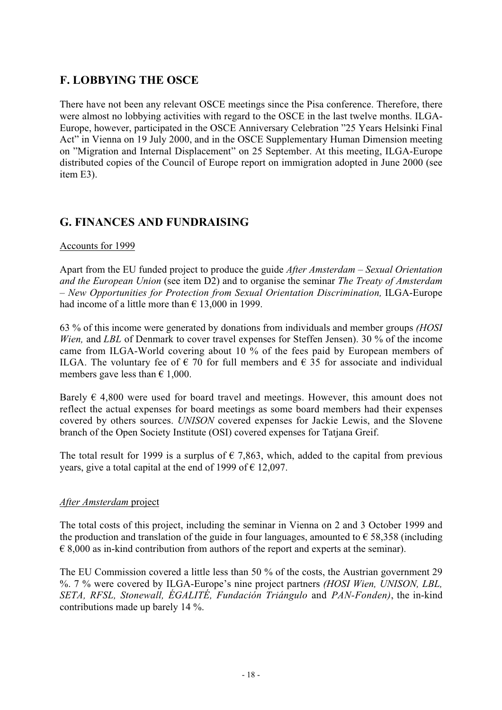## **F. LOBBYING THE OSCE**

There have not been any relevant OSCE meetings since the Pisa conference. Therefore, there were almost no lobbying activities with regard to the OSCE in the last twelve months. ILGA-Europe, however, participated in the OSCE Anniversary Celebration "25 Years Helsinki Final Act" in Vienna on 19 July 2000, and in the OSCE Supplementary Human Dimension meeting on "Migration and Internal Displacement" on 25 September. At this meeting, ILGA-Europe distributed copies of the Council of Europe report on immigration adopted in June 2000 (see item E3).

## **G. FINANCES AND FUNDRAISING**

#### Accounts for 1999

Apart from the EU funded project to produce the guide *After Amsterdam – Sexual Orientation and the European Union* (see item D2) and to organise the seminar *The Treaty of Amsterdam – New Opportunities for Protection from Sexual Orientation Discrimination,* ILGA-Europe had income of a little more than  $\epsilon$  13,000 in 1999.

63 % of this income were generated by donations from individuals and member groups *(HOSI Wien,* and *LBL* of Denmark to cover travel expenses for Steffen Jensen). 30 % of the income came from ILGA-World covering about 10 % of the fees paid by European members of ILGA. The voluntary fee of  $\epsilon$  70 for full members and  $\epsilon$  35 for associate and individual members gave less than  $\epsilon$  1,000.

Barely  $\epsilon$  4,800 were used for board travel and meetings. However, this amount does not reflect the actual expenses for board meetings as some board members had their expenses covered by others sources. *UNISON* covered expenses for Jackie Lewis, and the Slovene branch of the Open Society Institute (OSI) covered expenses for Tatjana Greif.

The total result for 1999 is a surplus of  $\epsilon$  7,863, which, added to the capital from previous years, give a total capital at the end of 1999 of  $\epsilon$  12,097.

#### *After Amsterdam* project

The total costs of this project, including the seminar in Vienna on 2 and 3 October 1999 and the production and translation of the guide in four languages, amounted to  $\epsilon$  58,358 (including  $\epsilon$  8,000 as in-kind contribution from authors of the report and experts at the seminar).

The EU Commission covered a little less than 50 % of the costs, the Austrian government 29 %. 7 % were covered by ILGA-Europe's nine project partners *(HOSI Wien, UNISON, LBL, SETA, RFSL, Stonewall, ÉGALITÉ, Fundación Triángulo* and *PAN-Fonden)*, the in-kind contributions made up barely 14 %.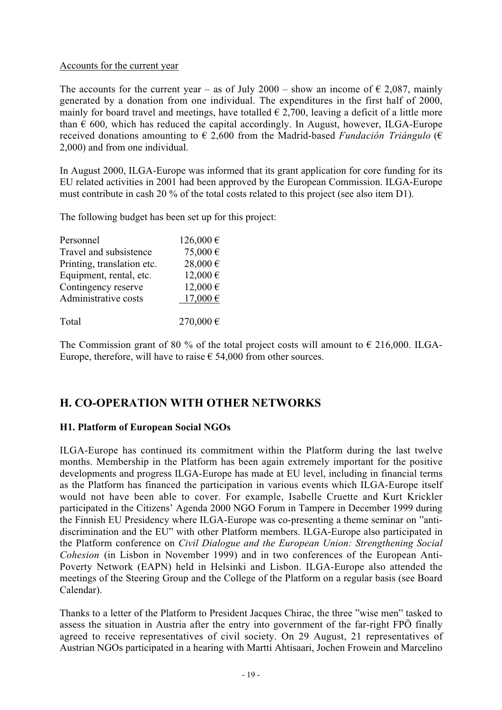#### Accounts for the current year

The accounts for the current year – as of July 2000 – show an income of  $\epsilon$  2,087, mainly generated by a donation from one individual. The expenditures in the first half of 2000, mainly for board travel and meetings, have totalled  $\epsilon$  2,700, leaving a deficit of a little more than  $\epsilon$  600, which has reduced the capital accordingly. In August, however, ILGA-Europe received donations amounting to  $\epsilon$  2,600 from the Madrid-based *Fundación Triángulo* ( $\epsilon$ 2,000) and from one individual.

In August 2000, ILGA-Europe was informed that its grant application for core funding for its EU related activities in 2001 had been approved by the European Commission. ILGA-Europe must contribute in cash 20 % of the total costs related to this project (see also item D1).

The following budget has been set up for this project:

| Personnel                  | 126,000€     |
|----------------------------|--------------|
| Travel and subsistence     | 75,000€      |
| Printing, translation etc. | $28,000 \in$ |
| Equipment, rental, etc.    | 12,000€      |
| Contingency reserve        | 12,000€      |
| Administrative costs       | 17,000€      |
|                            |              |
| Total                      | 270,000€     |

The Commission grant of 80 % of the total project costs will amount to  $\epsilon$  216,000. ILGA-Europe, therefore, will have to raise  $\epsilon$  54,000 from other sources.

## **H. CO-OPERATION WITH OTHER NETWORKS**

#### **H1. Platform of European Social NGOs**

ILGA-Europe has continued its commitment within the Platform during the last twelve months. Membership in the Platform has been again extremely important for the positive developments and progress ILGA-Europe has made at EU level, including in financial terms as the Platform has financed the participation in various events which ILGA-Europe itself would not have been able to cover. For example, Isabelle Cruette and Kurt Krickler participated in the Citizens' Agenda 2000 NGO Forum in Tampere in December 1999 during the Finnish EU Presidency where ILGA-Europe was co-presenting a theme seminar on "antidiscrimination and the EU" with other Platform members. ILGA-Europe also participated in the Platform conference on *Civil Dialogue and the European Union: Strengthening Social Cohesion* (in Lisbon in November 1999) and in two conferences of the European Anti-Poverty Network (EAPN) held in Helsinki and Lisbon. ILGA-Europe also attended the meetings of the Steering Group and the College of the Platform on a regular basis (see Board Calendar).

Thanks to a letter of the Platform to President Jacques Chirac, the three "wise men" tasked to assess the situation in Austria after the entry into government of the far-right FPÖ finally agreed to receive representatives of civil society. On 29 August, 21 representatives of Austrian NGOs participated in a hearing with Martti Ahtisaari, Jochen Frowein and Marcelino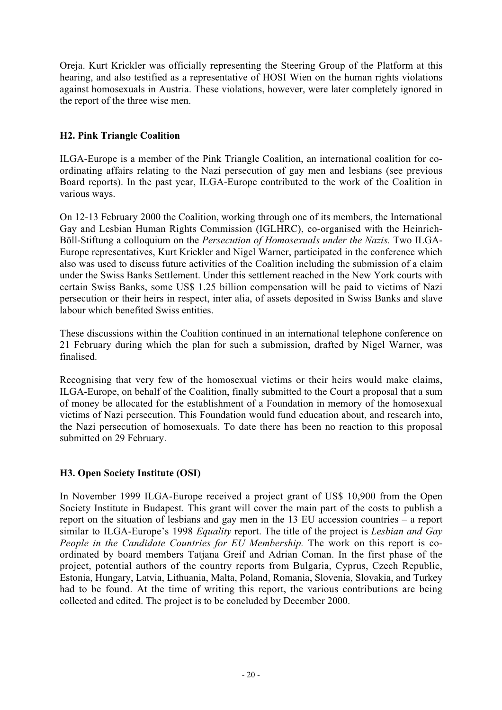Oreja. Kurt Krickler was officially representing the Steering Group of the Platform at this hearing, and also testified as a representative of HOSI Wien on the human rights violations against homosexuals in Austria. These violations, however, were later completely ignored in the report of the three wise men.

#### **H2. Pink Triangle Coalition**

ILGA-Europe is a member of the Pink Triangle Coalition, an international coalition for coordinating affairs relating to the Nazi persecution of gay men and lesbians (see previous Board reports). In the past year, ILGA-Europe contributed to the work of the Coalition in various ways.

On 12-13 February 2000 the Coalition, working through one of its members, the International Gay and Lesbian Human Rights Commission (IGLHRC), co-organised with the Heinrich-Böll-Stiftung a colloquium on the *Persecution of Homosexuals under the Nazis.* Two ILGA-Europe representatives, Kurt Krickler and Nigel Warner, participated in the conference which also was used to discuss future activities of the Coalition including the submission of a claim under the Swiss Banks Settlement. Under this settlement reached in the New York courts with certain Swiss Banks, some US\$ 1.25 billion compensation will be paid to victims of Nazi persecution or their heirs in respect, inter alia, of assets deposited in Swiss Banks and slave labour which benefited Swiss entities.

These discussions within the Coalition continued in an international telephone conference on 21 February during which the plan for such a submission, drafted by Nigel Warner, was finalised.

Recognising that very few of the homosexual victims or their heirs would make claims, ILGA-Europe, on behalf of the Coalition, finally submitted to the Court a proposal that a sum of money be allocated for the establishment of a Foundation in memory of the homosexual victims of Nazi persecution. This Foundation would fund education about, and research into, the Nazi persecution of homosexuals. To date there has been no reaction to this proposal submitted on 29 February.

#### **H3. Open Society Institute (OSI)**

In November 1999 ILGA-Europe received a project grant of US\$ 10,900 from the Open Society Institute in Budapest. This grant will cover the main part of the costs to publish a report on the situation of lesbians and gay men in the 13 EU accession countries – a report similar to ILGA-Europe's 1998 *Equality* report. The title of the project is *Lesbian and Gay People in the Candidate Countries for EU Membership.* The work on this report is coordinated by board members Tatjana Greif and Adrian Coman. In the first phase of the project, potential authors of the country reports from Bulgaria, Cyprus, Czech Republic, Estonia, Hungary, Latvia, Lithuania, Malta, Poland, Romania, Slovenia, Slovakia, and Turkey had to be found. At the time of writing this report, the various contributions are being collected and edited. The project is to be concluded by December 2000.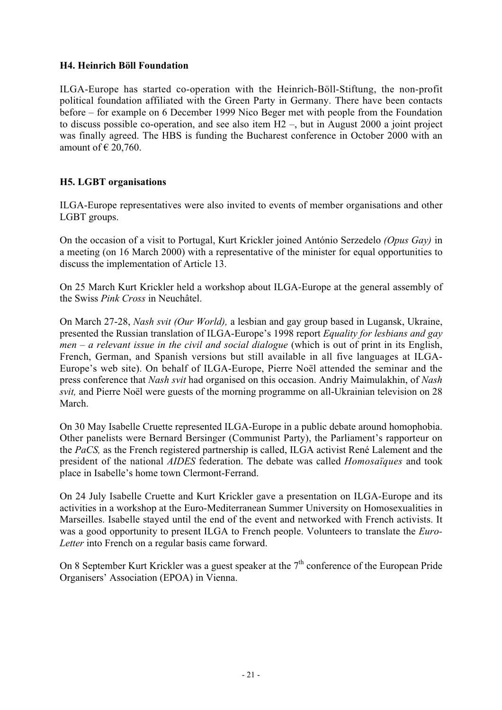#### **H4. Heinrich Böll Foundation**

ILGA-Europe has started co-operation with the Heinrich-Böll-Stiftung, the non-profit political foundation affiliated with the Green Party in Germany. There have been contacts before – for example on 6 December 1999 Nico Beger met with people from the Foundation to discuss possible co-operation, and see also item H2 –, but in August 2000 a joint project was finally agreed. The HBS is funding the Bucharest conference in October 2000 with an amount of  $\in$  20,760.

#### **H5. LGBT organisations**

ILGA-Europe representatives were also invited to events of member organisations and other LGBT groups.

On the occasion of a visit to Portugal, Kurt Krickler joined António Serzedelo *(Opus Gay)* in a meeting (on 16 March 2000) with a representative of the minister for equal opportunities to discuss the implementation of Article 13.

On 25 March Kurt Krickler held a workshop about ILGA-Europe at the general assembly of the Swiss *Pink Cross* in Neuchâtel.

On March 27-28, *Nash svit (Our World),* a lesbian and gay group based in Lugansk, Ukraine, presented the Russian translation of ILGA-Europe's 1998 report *Equality for lesbians and gay men – a relevant issue in the civil and social dialogue* (which is out of print in its English, French, German, and Spanish versions but still available in all five languages at ILGA-Europe's web site). On behalf of ILGA-Europe, Pierre Noël attended the seminar and the press conference that *Nash svit* had organised on this occasion. Andriy Maimulakhin, of *Nash svit,* and Pierre Noël were guests of the morning programme on all-Ukrainian television on 28 March.

On 30 May Isabelle Cruette represented ILGA-Europe in a public debate around homophobia. Other panelists were Bernard Bersinger (Communist Party), the Parliament's rapporteur on the *PaCS,* as the French registered partnership is called, ILGA activist René Lalement and the president of the national *AIDES* federation. The debate was called *Homosaïques* and took place in Isabelle's home town Clermont-Ferrand.

On 24 July Isabelle Cruette and Kurt Krickler gave a presentation on ILGA-Europe and its activities in a workshop at the Euro-Mediterranean Summer University on Homosexualities in Marseilles. Isabelle stayed until the end of the event and networked with French activists. It was a good opportunity to present ILGA to French people. Volunteers to translate the *Euro-Letter* into French on a regular basis came forward.

On 8 September Kurt Krickler was a guest speaker at the  $7<sup>th</sup>$  conference of the European Pride Organisers' Association (EPOA) in Vienna.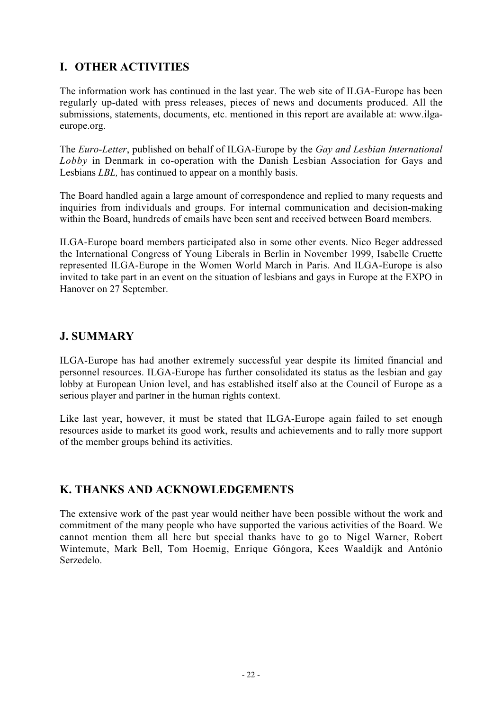## **I. OTHER ACTIVITIES**

The information work has continued in the last year. The web site of ILGA-Europe has been regularly up-dated with press releases, pieces of news and documents produced. All the submissions, statements, documents, etc. mentioned in this report are available at: www.ilgaeurope.org.

The *Euro-Letter*, published on behalf of ILGA-Europe by the *Gay and Lesbian International Lobby* in Denmark in co-operation with the Danish Lesbian Association for Gays and Lesbians *LBL,* has continued to appear on a monthly basis.

The Board handled again a large amount of correspondence and replied to many requests and inquiries from individuals and groups. For internal communication and decision-making within the Board, hundreds of emails have been sent and received between Board members.

ILGA-Europe board members participated also in some other events. Nico Beger addressed the International Congress of Young Liberals in Berlin in November 1999, Isabelle Cruette represented ILGA-Europe in the Women World March in Paris. And ILGA-Europe is also invited to take part in an event on the situation of lesbians and gays in Europe at the EXPO in Hanover on 27 September.

#### **J. SUMMARY**

ILGA-Europe has had another extremely successful year despite its limited financial and personnel resources. ILGA-Europe has further consolidated its status as the lesbian and gay lobby at European Union level, and has established itself also at the Council of Europe as a serious player and partner in the human rights context.

Like last year, however, it must be stated that ILGA-Europe again failed to set enough resources aside to market its good work, results and achievements and to rally more support of the member groups behind its activities.

## **K. THANKS AND ACKNOWLEDGEMENTS**

The extensive work of the past year would neither have been possible without the work and commitment of the many people who have supported the various activities of the Board. We cannot mention them all here but special thanks have to go to Nigel Warner, Robert Wintemute, Mark Bell, Tom Hoemig, Enrique Góngora, Kees Waaldijk and António Serzedelo.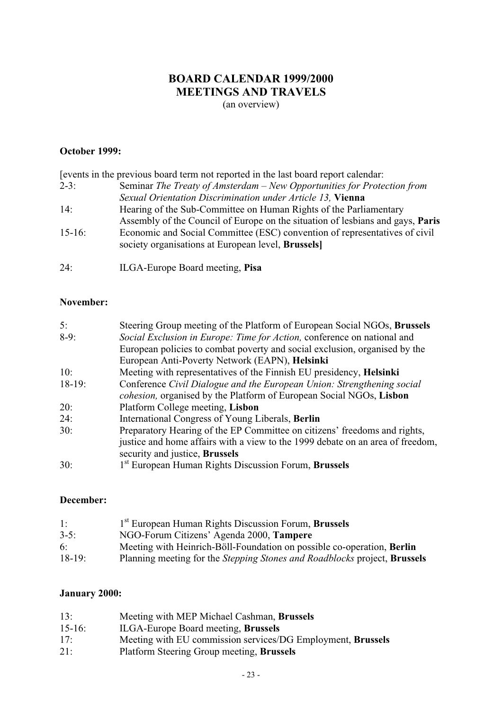## **BOARD CALENDAR 1999/2000 MEETINGS AND TRAVELS**

(an overview)

#### **October 1999:**

|            | events in the previous board term not reported in the last board report calendar. |
|------------|-----------------------------------------------------------------------------------|
| $2-3:$     | Seminar The Treaty of Amsterdam – New Opportunities for Protection from           |
|            | Sexual Orientation Discrimination under Article 13, Vienna                        |
| 14:        | Hearing of the Sub-Committee on Human Rights of the Parliamentary                 |
|            | Assembly of the Council of Europe on the situation of lesbians and gays, Paris    |
| $15-16$ :  | Economic and Social Committee (ESC) convention of representatives of civil        |
|            | society organisations at European level, Brussels                                 |
|            |                                                                                   |
| $24 \cdot$ | ILGA-Europe Board meeting, Pisa                                                   |

#### **November:**

| 5:                                                                                 | Steering Group meeting of the Platform of European Social NGOs, Brussels |
|------------------------------------------------------------------------------------|--------------------------------------------------------------------------|
| Social Exclusion in Europe: Time for Action, conference on national and<br>$8-9:$  |                                                                          |
| European policies to combat poverty and social exclusion, organised by the         |                                                                          |
| European Anti-Poverty Network (EAPN), Helsinki                                     |                                                                          |
| Meeting with representatives of the Finnish EU presidency, Helsinki<br>10:         |                                                                          |
| $18-19:$<br>Conference Civil Dialogue and the European Union: Strengthening social |                                                                          |
| cohesion, organised by the Platform of European Social NGOs, Lisbon                |                                                                          |
| Platform College meeting, Lisbon<br>20:                                            |                                                                          |
| 24:<br>International Congress of Young Liberals, Berlin                            |                                                                          |
| Preparatory Hearing of the EP Committee on citizens' freedoms and rights,<br>30:   |                                                                          |
| justice and home affairs with a view to the 1999 debate on an area of freedom,     |                                                                          |
| security and justice, Brussels                                                     |                                                                          |
| 1 <sup>st</sup> European Human Rights Discussion Forum, <b>Brussels</b><br>30:     |                                                                          |

#### **December:**

| 1:       | <sup>1st</sup> European Human Rights Discussion Forum, <b>Brussels</b>                  |
|----------|-----------------------------------------------------------------------------------------|
| $3-5$ :  | NGO-Forum Citizens' Agenda 2000, Tampere                                                |
| 6:       | Meeting with Heinrich-Böll-Foundation on possible co-operation, Berlin                  |
| $18-19:$ | Planning meeting for the <i>Stepping Stones and Roadblocks</i> project, <b>Brussels</b> |

#### **January 2000:**

| 13:         | Meeting with MEP Michael Cashman, Brussels                  |
|-------------|-------------------------------------------------------------|
| $15 - 16$ : | ILGA-Europe Board meeting, <b>Brussels</b>                  |
| 17:         | Meeting with EU commission services/DG Employment, Brussels |
| 21:         | Platform Steering Group meeting, Brussels                   |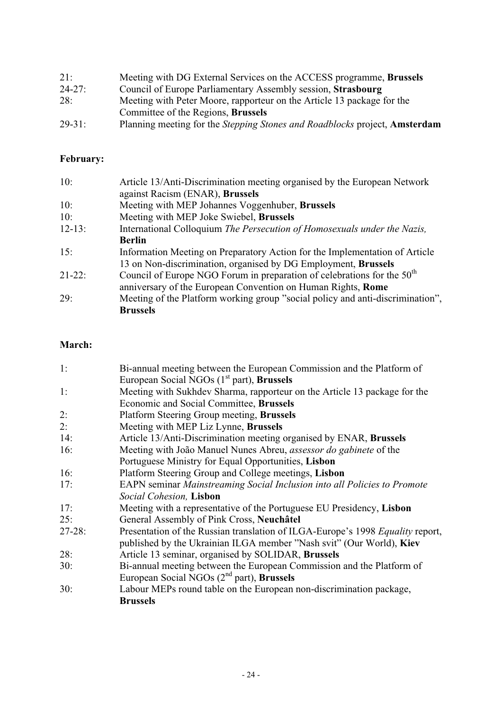| 21:         | Meeting with DG External Services on the ACCESS programme, Brussels        |
|-------------|----------------------------------------------------------------------------|
| $24 - 27$ : | Council of Europe Parliamentary Assembly session, Strasbourg               |
| 28:         | Meeting with Peter Moore, rapporteur on the Article 13 package for the     |
|             | Committee of the Regions, Brussels                                         |
| $29 - 31$ : | Planning meeting for the Stepping Stones and Roadblocks project, Amsterdam |

## **February:**

| 10:        | Article 13/Anti-Discrimination meeting organised by the European Network       |
|------------|--------------------------------------------------------------------------------|
|            | against Racism (ENAR), Brussels                                                |
| 10:        | Meeting with MEP Johannes Voggenhuber, Brussels                                |
| 10:        | Meeting with MEP Joke Swiebel, Brussels                                        |
| $12 - 13:$ | International Colloquium The Persecution of Homosexuals under the Nazis,       |
|            | <b>Berlin</b>                                                                  |
| 15:        | Information Meeting on Preparatory Action for the Implementation of Article    |
|            | 13 on Non-discrimination, organised by DG Employment, Brussels                 |
| $21-22:$   | Council of Europe NGO Forum in preparation of celebrations for the $50th$      |
|            | anniversary of the European Convention on Human Rights, Rome                   |
| 29:        | Meeting of the Platform working group "social policy and anti-discrimination", |
|            | <b>Brussels</b>                                                                |

#### **March:**

| 1:         | Bi-annual meeting between the European Commission and the Platform of          |
|------------|--------------------------------------------------------------------------------|
|            | European Social NGOs $(1st$ part), Brussels                                    |
| 1:         | Meeting with Sukhdev Sharma, rapporteur on the Article 13 package for the      |
|            | Economic and Social Committee, Brussels                                        |
| 2:         | Platform Steering Group meeting, Brussels                                      |
| 2:         | Meeting with MEP Liz Lynne, Brussels                                           |
| 14:        | Article 13/Anti-Discrimination meeting organised by ENAR, Brussels             |
| 16:        | Meeting with João Manuel Nunes Abreu, assessor do gabinete of the              |
|            | Portuguese Ministry for Equal Opportunities, Lisbon                            |
| 16:        | Platform Steering Group and College meetings, Lisbon                           |
| 17:        | EAPN seminar Mainstreaming Social Inclusion into all Policies to Promote       |
|            | Social Cohesion, Lisbon                                                        |
| 17:        | Meeting with a representative of the Portuguese EU Presidency, Lisbon          |
| 25:        | General Assembly of Pink Cross, Neuchâtel                                      |
| $27 - 28:$ | Presentation of the Russian translation of ILGA-Europe's 1998 Equality report, |
|            | published by the Ukrainian ILGA member "Nash svit" (Our World), Kiev           |
| 28:        | Article 13 seminar, organised by SOLIDAR, Brussels                             |
| 30:        | Bi-annual meeting between the European Commission and the Platform of          |
|            | European Social NGOs (2 <sup>nd</sup> part), Brussels                          |
| 30:        | Labour MEPs round table on the European non-discrimination package,            |
|            | <b>Brussels</b>                                                                |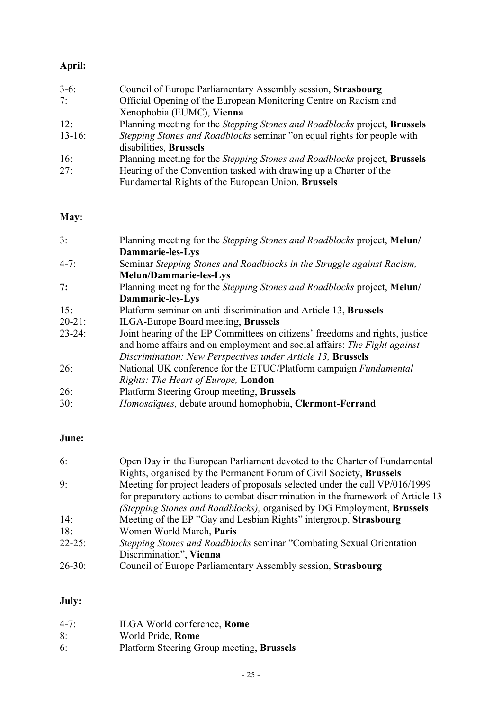## **April:**

| Council of Europe Parliamentary Assembly session, Strasbourg                            |
|-----------------------------------------------------------------------------------------|
| Official Opening of the European Monitoring Centre on Racism and                        |
| Xenophobia (EUMC), Vienna                                                               |
| Planning meeting for the <i>Stepping Stones and Roadblocks</i> project, <b>Brussels</b> |
| <i>Stepping Stones and Roadblocks</i> seminar "on equal rights for people with          |
|                                                                                         |
| Planning meeting for the Stepping Stones and Roadblocks project, Brussels               |
| Hearing of the Convention tasked with drawing up a Charter of the                       |
| Fundamental Rights of the European Union, Brussels                                      |
|                                                                                         |

#### **May:**

| 3:          | Planning meeting for the Stepping Stones and Roadblocks project, Melun/      |
|-------------|------------------------------------------------------------------------------|
|             | Dammarie-les-Lys                                                             |
| $4 - 7:$    | Seminar Stepping Stones and Roadblocks in the Struggle against Racism,       |
|             | <b>Melun/Dammarie-les-Lys</b>                                                |
| 7:          | Planning meeting for the Stepping Stones and Roadblocks project, Melun/      |
|             | Dammarie-les-Lys                                                             |
| 15:         | Platform seminar on anti-discrimination and Article 13, Brussels             |
| $20 - 21$ : | <b>ILGA-Europe Board meeting, Brussels</b>                                   |
| $23 - 24$ : | Joint hearing of the EP Committees on citizens' freedoms and rights, justice |
|             | and home affairs and on employment and social affairs: The Fight against     |
|             | Discrimination: New Perspectives under Article 13, Brussels                  |
| 26:         | National UK conference for the ETUC/Platform campaign Fundamental            |
|             | Rights: The Heart of Europe, London                                          |
| 26:         | Platform Steering Group meeting, Brussels                                    |
| 30:         | Homosaïques, debate around homophobia, Clermont-Ferrand                      |

## **June:**

| 6:         | Open Day in the European Parliament devoted to the Charter of Fundamental       |
|------------|---------------------------------------------------------------------------------|
|            | Rights, organised by the Permanent Forum of Civil Society, Brussels             |
| 9:         | Meeting for project leaders of proposals selected under the call VP/016/1999    |
|            | for preparatory actions to combat discrimination in the framework of Article 13 |
|            | (Stepping Stones and Roadblocks), organised by DG Employment, Brussels          |
| 14:        | Meeting of the EP "Gay and Lesbian Rights" intergroup, Strasbourg               |
| 18:        | Women World March, Paris                                                        |
| $22 - 25:$ | <i>Stepping Stones and Roadblocks seminar "Combating Sexual Orientation"</i>    |
|            | Discrimination", Vienna                                                         |
| $26 - 30:$ | Council of Europe Parliamentary Assembly session, Strasbourg                    |

## **July:**

| $4 - 7:$ | ILGA World conference, Rome               |
|----------|-------------------------------------------|
| 8:       | World Pride, Rome                         |
| 6:       | Platform Steering Group meeting, Brussels |